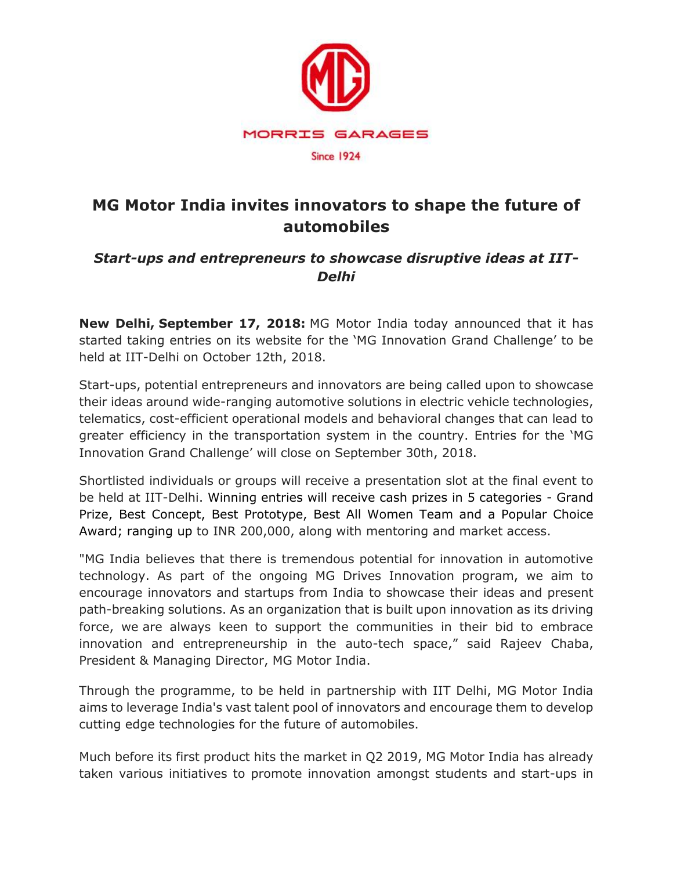

# **MG Motor India invites innovators to shape the future of automobiles**

## *Start-ups and entrepreneurs to showcase disruptive ideas at IIT-Delhi*

**New Delhi, September 17, 2018:** MG Motor India today announced that it has started taking entries on its website for the 'MG Innovation Grand Challenge' to be held at IIT-Delhi on October 12th, 2018.

Start-ups, potential entrepreneurs and innovators are being called upon to showcase their ideas around wide-ranging automotive solutions in electric vehicle technologies, telematics, cost-efficient operational models and behavioral changes that can lead to greater efficiency in the transportation system in the country. Entries for the 'MG Innovation Grand Challenge' will close on September 30th, 2018.

Shortlisted individuals or groups will receive a presentation slot at the final event to be held at IIT-Delhi. Winning entries will receive cash prizes in 5 categories - Grand Prize, Best Concept, Best Prototype, Best All Women Team and a Popular Choice Award; ranging up to INR 200,000, along with mentoring and market access.

"MG India believes that there is tremendous potential for innovation in automotive technology. As part of the ongoing MG Drives Innovation program, we aim to encourage innovators and startups from India to showcase their ideas and present path-breaking solutions. As an organization that is built upon innovation as its driving force, we are always keen to support the communities in their bid to embrace innovation and entrepreneurship in the auto-tech space," said Rajeev Chaba, President & Managing Director, MG Motor India.

Through the programme, to be held in partnership with IIT Delhi, MG Motor India aims to leverage India's vast talent pool of innovators and encourage them to develop cutting edge technologies for the future of automobiles.

Much before its first product hits the market in Q2 2019, MG Motor India has already taken various initiatives to promote innovation amongst students and start-ups in